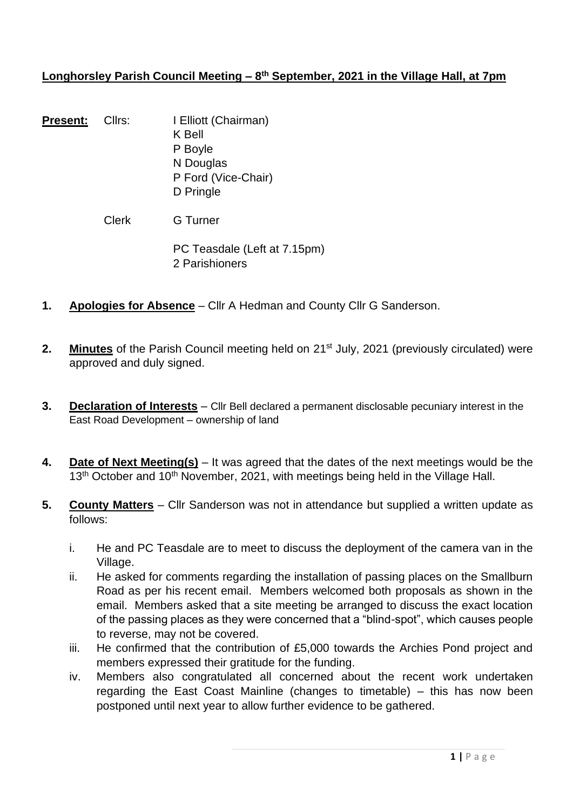# **Longhorsley Parish Council Meeting – 8 th September, 2021 in the Village Hall, at 7pm**

| <b>Present:</b> | Cllrs: | I Elliott (Chairman)<br>K Bell<br>P Boyle<br>N Douglas<br>P Ford (Vice-Chair)<br>D Pringle |
|-----------------|--------|--------------------------------------------------------------------------------------------|
|                 | Clerk  | <b>G</b> Turner                                                                            |
|                 |        | PC Teasdale (Left at 7.15pm)<br>2 Parishioners                                             |

- **1. Apologies for Absence** Cllr A Hedman and County Cllr G Sanderson.
- **2. Minutes** of the Parish Council meeting held on 21<sup>st</sup> July, 2021 (previously circulated) were approved and duly signed.
- **3. Declaration of Interests** Cllr Bell declared a permanent disclosable pecuniary interest in the East Road Development – ownership of land
- **4. Date of Next Meeting(s)** It was agreed that the dates of the next meetings would be the 13<sup>th</sup> October and 10<sup>th</sup> November, 2021, with meetings being held in the Village Hall.
- **5. County Matters** Cllr Sanderson was not in attendance but supplied a written update as follows:
	- i. He and PC Teasdale are to meet to discuss the deployment of the camera van in the Village.
	- ii. He asked for comments regarding the installation of passing places on the Smallburn Road as per his recent email. Members welcomed both proposals as shown in the email. Members asked that a site meeting be arranged to discuss the exact location of the passing places as they were concerned that a "blind-spot", which causes people to reverse, may not be covered.
	- iii. He confirmed that the contribution of £5,000 towards the Archies Pond project and members expressed their gratitude for the funding.
	- iv. Members also congratulated all concerned about the recent work undertaken regarding the East Coast Mainline (changes to timetable) – this has now been postponed until next year to allow further evidence to be gathered.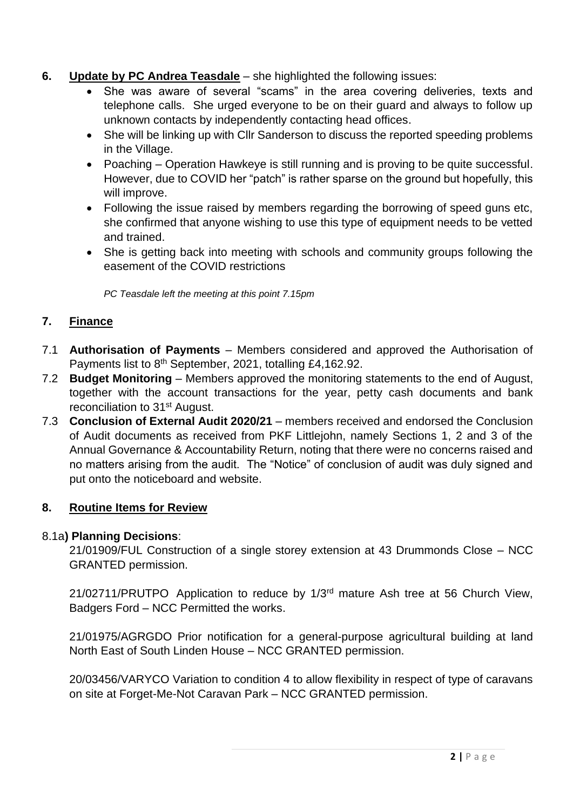# **6. Update by PC Andrea Teasdale** – she highlighted the following issues:

- She was aware of several "scams" in the area covering deliveries, texts and telephone calls. She urged everyone to be on their guard and always to follow up unknown contacts by independently contacting head offices.
- She will be linking up with Cllr Sanderson to discuss the reported speeding problems in the Village.
- Poaching Operation Hawkeye is still running and is proving to be quite successful. However, due to COVID her "patch" is rather sparse on the ground but hopefully, this will improve.
- Following the issue raised by members regarding the borrowing of speed guns etc, she confirmed that anyone wishing to use this type of equipment needs to be vetted and trained.
- She is getting back into meeting with schools and community groups following the easement of the COVID restrictions

*PC Teasdale left the meeting at this point 7.15pm*

# **7. Finance**

- 7.1 **Authorisation of Payments** Members considered and approved the Authorisation of Payments list to 8<sup>th</sup> September, 2021, totalling £4,162.92.
- 7.2 **Budget Monitoring** Members approved the monitoring statements to the end of August, together with the account transactions for the year, petty cash documents and bank reconciliation to 31<sup>st</sup> August.
- 7.3 **Conclusion of External Audit 2020/21**  members received and endorsed the Conclusion of Audit documents as received from PKF Littlejohn, namely Sections 1, 2 and 3 of the Annual Governance & Accountability Return, noting that there were no concerns raised and no matters arising from the audit. The "Notice" of conclusion of audit was duly signed and put onto the noticeboard and website.

# **8. Routine Items for Review**

### 8.1a**) Planning Decisions**:

21/01909/FUL Construction of a single storey extension at 43 Drummonds Close – NCC GRANTED permission.

21/02711/PRUTPO Application to reduce by 1/3rd mature Ash tree at 56 Church View, Badgers Ford – NCC Permitted the works.

21/01975/AGRGDO Prior notification for a general-purpose agricultural building at land North East of South Linden House – NCC GRANTED permission.

20/03456/VARYCO Variation to condition 4 to allow flexibility in respect of type of caravans on site at Forget-Me-Not Caravan Park – NCC GRANTED permission.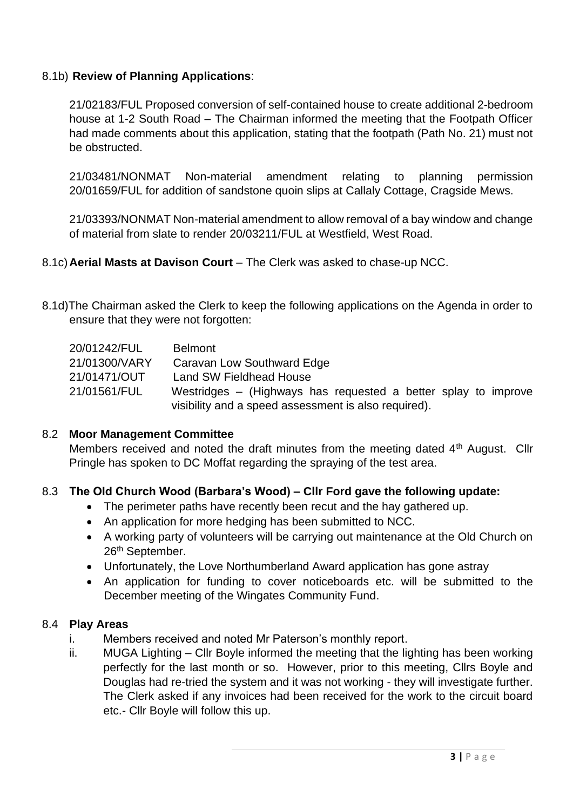### 8.1b) **Review of Planning Applications**:

21/02183/FUL Proposed conversion of self-contained house to create additional 2-bedroom house at 1-2 South Road – The Chairman informed the meeting that the Footpath Officer had made comments about this application, stating that the footpath (Path No. 21) must not be obstructed.

21/03481/NONMAT Non-material amendment relating to planning permission 20/01659/FUL for addition of sandstone quoin slips at Callaly Cottage, Cragside Mews.

21/03393/NONMAT Non-material amendment to allow removal of a bay window and change of material from slate to render 20/03211/FUL at Westfield, West Road.

- 8.1c)**Aerial Masts at Davison Court** The Clerk was asked to chase-up NCC.
- 8.1d)The Chairman asked the Clerk to keep the following applications on the Agenda in order to ensure that they were not forgotten:

| 20/01242/FUL                                         | <b>Belmont</b>                                                 |  |  |
|------------------------------------------------------|----------------------------------------------------------------|--|--|
| 21/01300/VARY                                        | Caravan Low Southward Edge                                     |  |  |
| 21/01471/OUT                                         | Land SW Fieldhead House                                        |  |  |
| 21/01561/FUL                                         | Westridges – (Highways has requested a better splay to improve |  |  |
| visibility and a speed assessment is also required). |                                                                |  |  |

### 8.2 **Moor Management Committee**

Members received and noted the draft minutes from the meeting dated 4<sup>th</sup> August. Cllr Pringle has spoken to DC Moffat regarding the spraying of the test area.

# 8.3 **The Old Church Wood (Barbara's Wood) – Cllr Ford gave the following update:**

- The perimeter paths have recently been recut and the hay gathered up.
- An application for more hedging has been submitted to NCC.
- A working party of volunteers will be carrying out maintenance at the Old Church on 26th September.
- Unfortunately, the Love Northumberland Award application has gone astray
- An application for funding to cover noticeboards etc. will be submitted to the December meeting of the Wingates Community Fund.

### 8.4 **Play Areas**

- i. Members received and noted Mr Paterson's monthly report.
- ii. MUGA Lighting Cllr Boyle informed the meeting that the lighting has been working perfectly for the last month or so. However, prior to this meeting, Cllrs Boyle and Douglas had re-tried the system and it was not working - they will investigate further. The Clerk asked if any invoices had been received for the work to the circuit board etc.- Cllr Boyle will follow this up.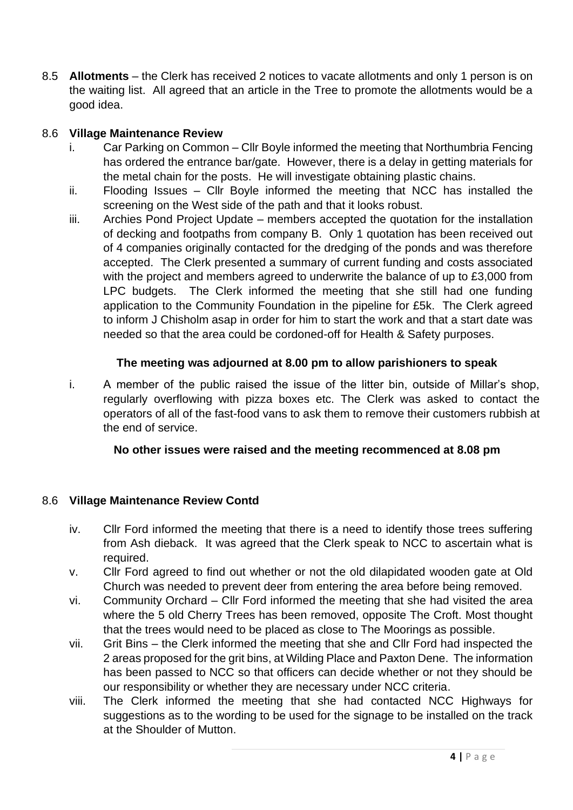8.5 **Allotments** – the Clerk has received 2 notices to vacate allotments and only 1 person is on the waiting list. All agreed that an article in the Tree to promote the allotments would be a good idea.

### 8.6 **Village Maintenance Review**

- i. Car Parking on Common Cllr Boyle informed the meeting that Northumbria Fencing has ordered the entrance bar/gate. However, there is a delay in getting materials for the metal chain for the posts. He will investigate obtaining plastic chains.
- ii. Flooding Issues Cllr Boyle informed the meeting that NCC has installed the screening on the West side of the path and that it looks robust.
- iii. Archies Pond Project Update members accepted the quotation for the installation of decking and footpaths from company B. Only 1 quotation has been received out of 4 companies originally contacted for the dredging of the ponds and was therefore accepted. The Clerk presented a summary of current funding and costs associated with the project and members agreed to underwrite the balance of up to £3,000 from LPC budgets. The Clerk informed the meeting that she still had one funding application to the Community Foundation in the pipeline for £5k. The Clerk agreed to inform J Chisholm asap in order for him to start the work and that a start date was needed so that the area could be cordoned-off for Health & Safety purposes.

### **The meeting was adjourned at 8.00 pm to allow parishioners to speak**

i. A member of the public raised the issue of the litter bin, outside of Millar's shop, regularly overflowing with pizza boxes etc. The Clerk was asked to contact the operators of all of the fast-food vans to ask them to remove their customers rubbish at the end of service.

### **No other issues were raised and the meeting recommenced at 8.08 pm**

### 8.6 **Village Maintenance Review Contd**

- iv. Cllr Ford informed the meeting that there is a need to identify those trees suffering from Ash dieback. It was agreed that the Clerk speak to NCC to ascertain what is required.
- v. Cllr Ford agreed to find out whether or not the old dilapidated wooden gate at Old Church was needed to prevent deer from entering the area before being removed.
- vi. Community Orchard Cllr Ford informed the meeting that she had visited the area where the 5 old Cherry Trees has been removed, opposite The Croft. Most thought that the trees would need to be placed as close to The Moorings as possible.
- vii. Grit Bins the Clerk informed the meeting that she and Cllr Ford had inspected the 2 areas proposed for the grit bins, at Wilding Place and Paxton Dene. The information has been passed to NCC so that officers can decide whether or not they should be our responsibility or whether they are necessary under NCC criteria.
- viii. The Clerk informed the meeting that she had contacted NCC Highways for suggestions as to the wording to be used for the signage to be installed on the track at the Shoulder of Mutton.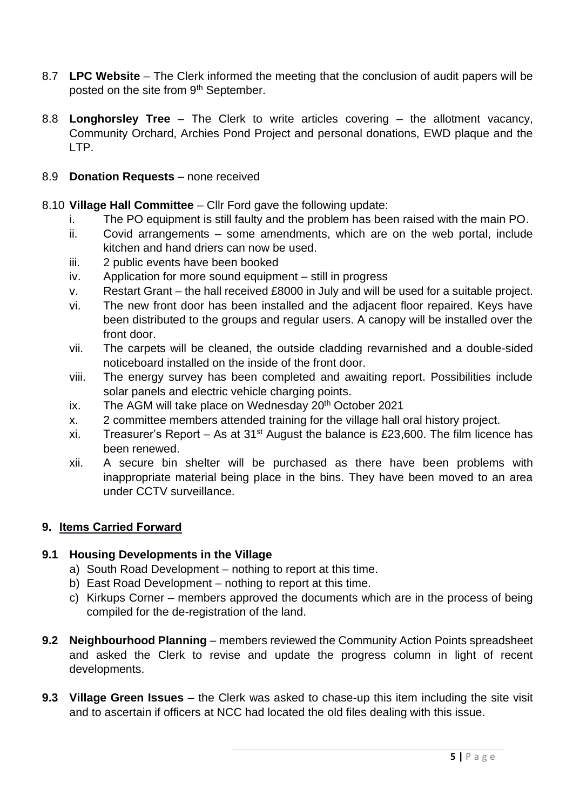- 8.7 **LPC Website** The Clerk informed the meeting that the conclusion of audit papers will be posted on the site from 9<sup>th</sup> September.
- 8.8 **Longhorsley Tree** The Clerk to write articles covering the allotment vacancy, Community Orchard, Archies Pond Project and personal donations, EWD plaque and the LTP.
- 8.9 **Donation Requests** none received
- 8.10 **Village Hall Committee** Cllr Ford gave the following update:
	- i. The PO equipment is still faulty and the problem has been raised with the main PO.
	- ii. Covid arrangements some amendments, which are on the web portal, include kitchen and hand driers can now be used.
	- iii. 2 public events have been booked
	- iv. Application for more sound equipment still in progress
	- v. Restart Grant the hall received £8000 in July and will be used for a suitable project.
	- vi. The new front door has been installed and the adjacent floor repaired. Keys have been distributed to the groups and regular users. A canopy will be installed over the front door.
	- vii. The carpets will be cleaned, the outside cladding revarnished and a double-sided noticeboard installed on the inside of the front door.
	- viii. The energy survey has been completed and awaiting report. Possibilities include solar panels and electric vehicle charging points.
	- ix. The AGM will take place on Wednesday  $20<sup>th</sup>$  October 2021
	- x. 2 committee members attended training for the village hall oral history project.
	- xi. Treasurer's Report As at  $31<sup>st</sup>$  August the balance is £23,600. The film licence has been renewed.
	- xii. A secure bin shelter will be purchased as there have been problems with inappropriate material being place in the bins. They have been moved to an area under CCTV surveillance.

# **9. Items Carried Forward**

# **9.1 Housing Developments in the Village**

- a) South Road Development nothing to report at this time.
- b) East Road Development nothing to report at this time.
- c) Kirkups Corner members approved the documents which are in the process of being compiled for the de-registration of the land.
- **9.2 Neighbourhood Planning** members reviewed the Community Action Points spreadsheet and asked the Clerk to revise and update the progress column in light of recent developments.
- **9.3 Village Green Issues** the Clerk was asked to chase-up this item including the site visit and to ascertain if officers at NCC had located the old files dealing with this issue.